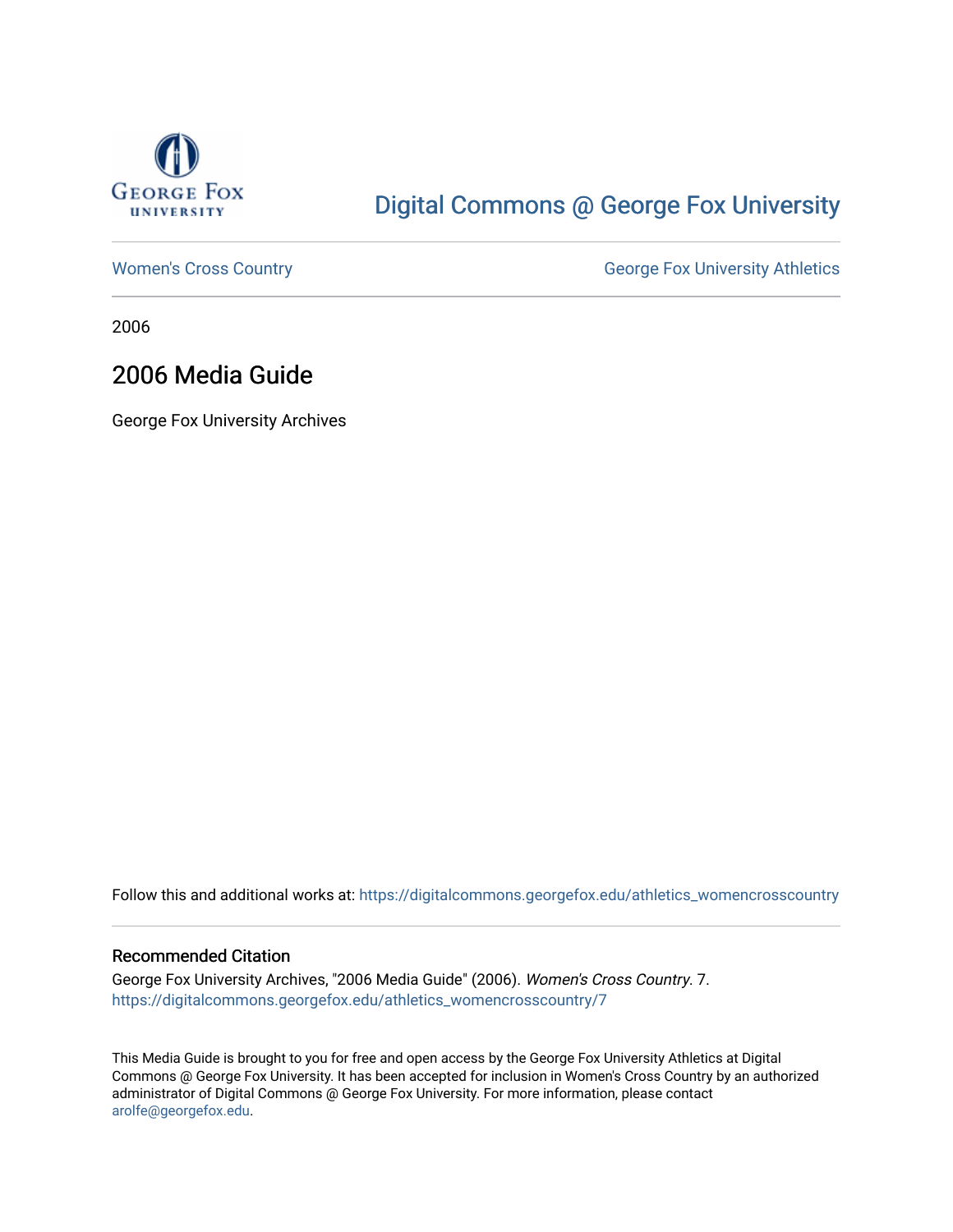

# [Digital Commons @ George Fox University](https://digitalcommons.georgefox.edu/)

[Women's Cross Country](https://digitalcommons.georgefox.edu/athletics_womencrosscountry) **George Fox University Athletics** George Fox University Athletics

2006

# 2006 Media Guide

George Fox University Archives

Follow this and additional works at: [https://digitalcommons.georgefox.edu/athletics\\_womencrosscountry](https://digitalcommons.georgefox.edu/athletics_womencrosscountry?utm_source=digitalcommons.georgefox.edu%2Fathletics_womencrosscountry%2F7&utm_medium=PDF&utm_campaign=PDFCoverPages)

#### Recommended Citation

George Fox University Archives, "2006 Media Guide" (2006). Women's Cross Country. 7. [https://digitalcommons.georgefox.edu/athletics\\_womencrosscountry/7](https://digitalcommons.georgefox.edu/athletics_womencrosscountry/7?utm_source=digitalcommons.georgefox.edu%2Fathletics_womencrosscountry%2F7&utm_medium=PDF&utm_campaign=PDFCoverPages)

This Media Guide is brought to you for free and open access by the George Fox University Athletics at Digital Commons @ George Fox University. It has been accepted for inclusion in Women's Cross Country by an authorized administrator of Digital Commons @ George Fox University. For more information, please contact [arolfe@georgefox.edu.](mailto:arolfe@georgefox.edu)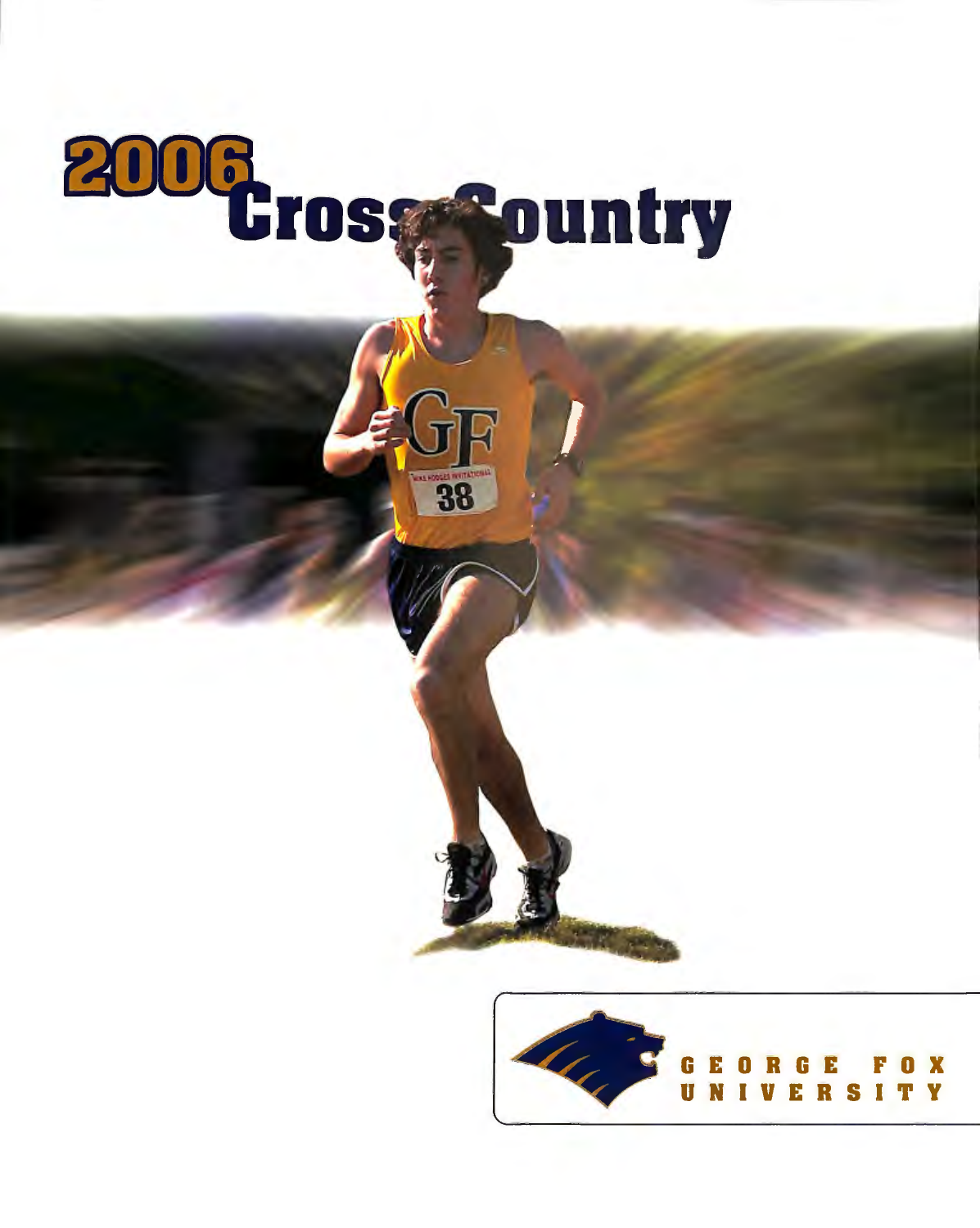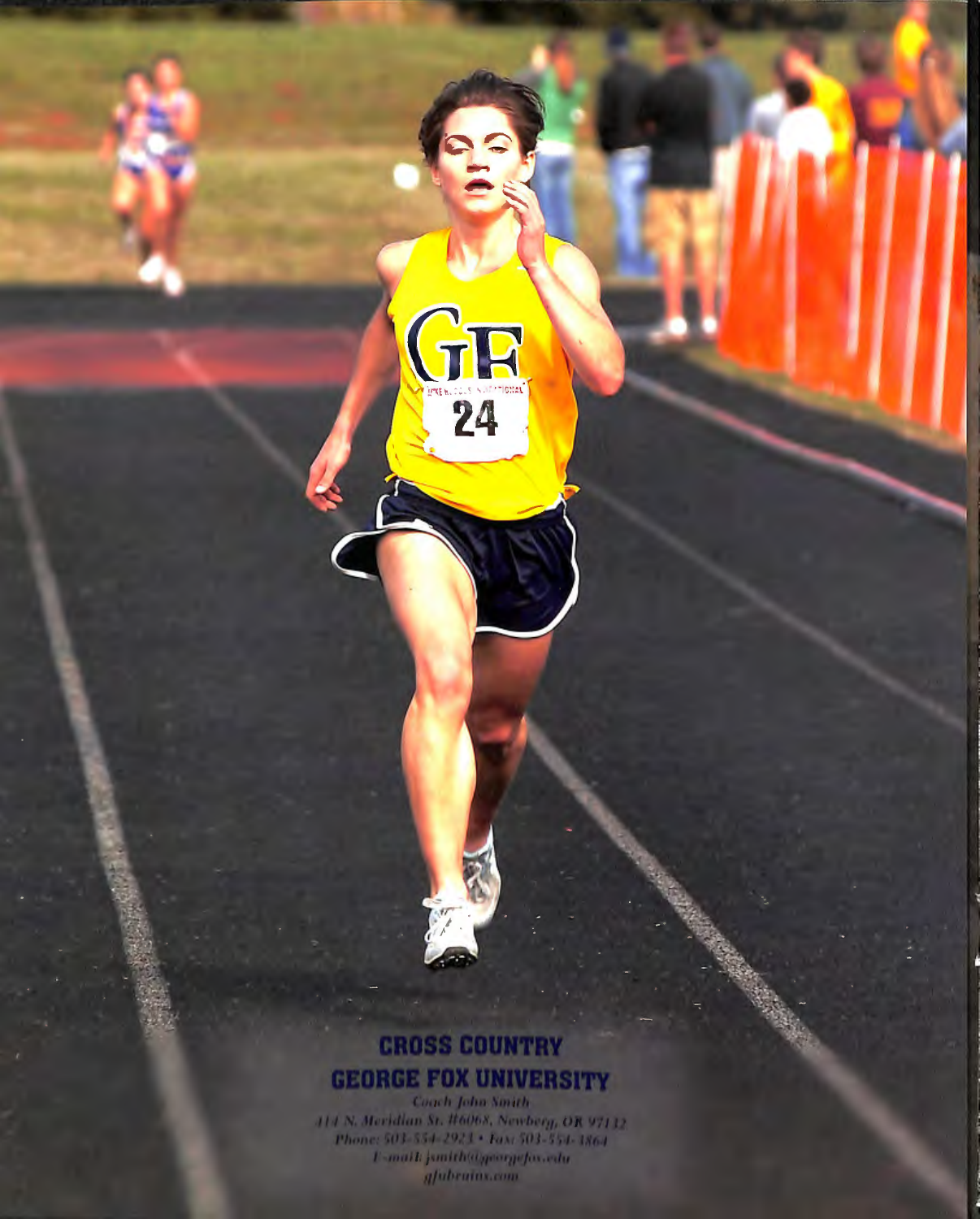# **CROSS COUNTRY GEORGE FOX UNIVERSITY**

GR<sub>24</sub>

Coach John Smith 114 N. Meridian St. #6068, Newberg, OR 97132.<br>Phone: 503-554-2923 + Fax: 503-554-3864<br>F-mail: junith@georgefox.edu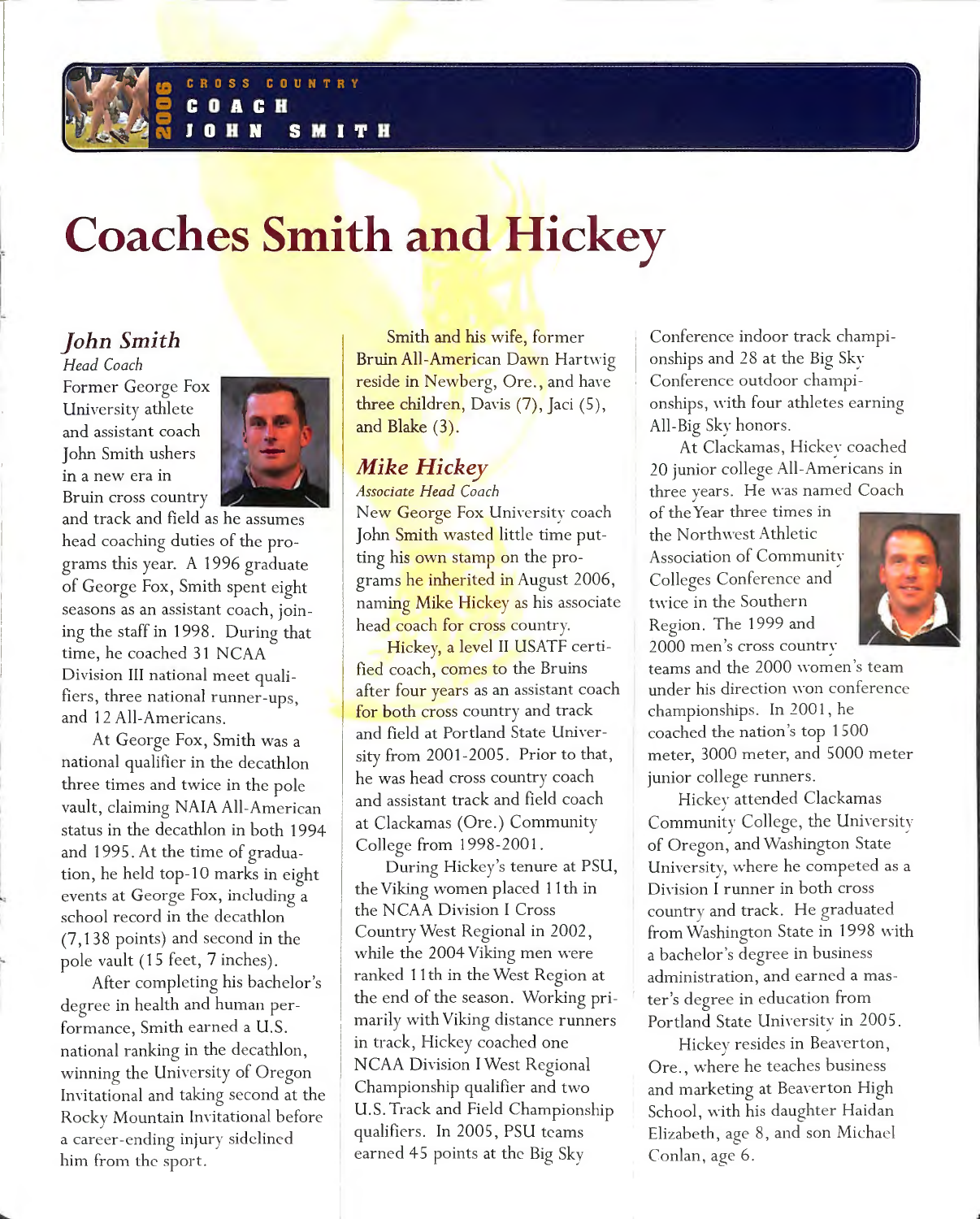

# **Coaches Smith and Hickey**

# *John Smith*

*Head Coach*  Former George Fox University athlete and assistant coach John Smith ushers in a new era in Bruin cross country



and track and field as he assumes head coaching duties of the programs this year. A 1 996 graduate of George Fox, Smith spent eight seasons as an assistant coach, joining the staff in 1998. During that time, he coached 31 NCAA Division III national meet qualifiers, three national runner-ups, and 12 All-Americans.

At George Fox, Smith was a national qualifier in the decathlon three times and twice in the pole vault, claiming NAIA All-American status in the decathlon in both 1994 and 1995. At the time of graduation, he held top-10 marks in eight events at George Fox, including a school record in the decathlon (7, 1 38 points) and second in the pole vault (15 feet, 7 inches).

After completing his bachelor's degree in health and human performance, Smith earned a U.S. national ranking in the decathlon, winning the University of Oregon Invitational and taking second at the Rocky Mountain Invitational before a career-ending injury sidelined him from the sport.

Smith and his wife, former Bruin All-American Davvn Hart\\·io *b*  reside in Newberg, Ore., and have three children, Davis  $(7)$ , Jaci  $(5)$ , and Blake (3).

### *Mike Hickey*

*Associate Head Coach* 

New George Fox University coach John Smith wasted little time putting his own stamp on the programs he inherited in August 2006, naming Mike Hickey as his associate head coach for cross country.

Hickey, a level II USATF certified coach, comes to the Bruins after four years as an assistant coach for both cross country and track and field at Portland State University from 2001-2005. Prior to that, he was head cross country coach and assistant track and field coach at Clackamas (Ore.) Community College from 1998-2001.

During Hickey's tenure at PSU, the Viking women placed 1 1 th in the NCAA Division I Cross 1 Country West Regional in 2002, while the 2004 Viking men were ranked 1 1 th in the West Region at the end of the season. Working primarily with Viking distance runners in track, Hickey coached one NCAA Division I West Regional Championship qualifier and two U.S. Track and Field Championship qualifiers. In 2005, PSU teams earned 45 points at the Big Sky

Conference indoor track championships and 28 at the Big Sky Conference outdoor championships, with four athletes earning All-Big Sky honors.

At Clackamas, Hickey coached 20 junior college All-Americans in three years. He was named Coach

of the Year three times in the Northwest Athletic Association of Community Colleges Conference and twice in the Southern Region. The 1999 and 2000 men 's cross countrv



teams and the 2000 women's team under his direction won conference championships. In 2001 , he coached the nation 's top 1500 meter, 3000 meter, and 5000 meter junior college runners.

Hickey attended Clackamas Community College, the University<br>of Oregon, and Washington State University, where he competed as a Division I runner in both cross country and track. He graduated from Washington State in 1998 with a bachelor's degree in business administration, and earned a master's degree in education from Portland State University in 2005.

Hickey resides in Beaverton, Ore., where he teaches business and marketing at Beaverton High School, with his daughter Haidan Elizabeth, age 8, and son Michael Conlan, age 6.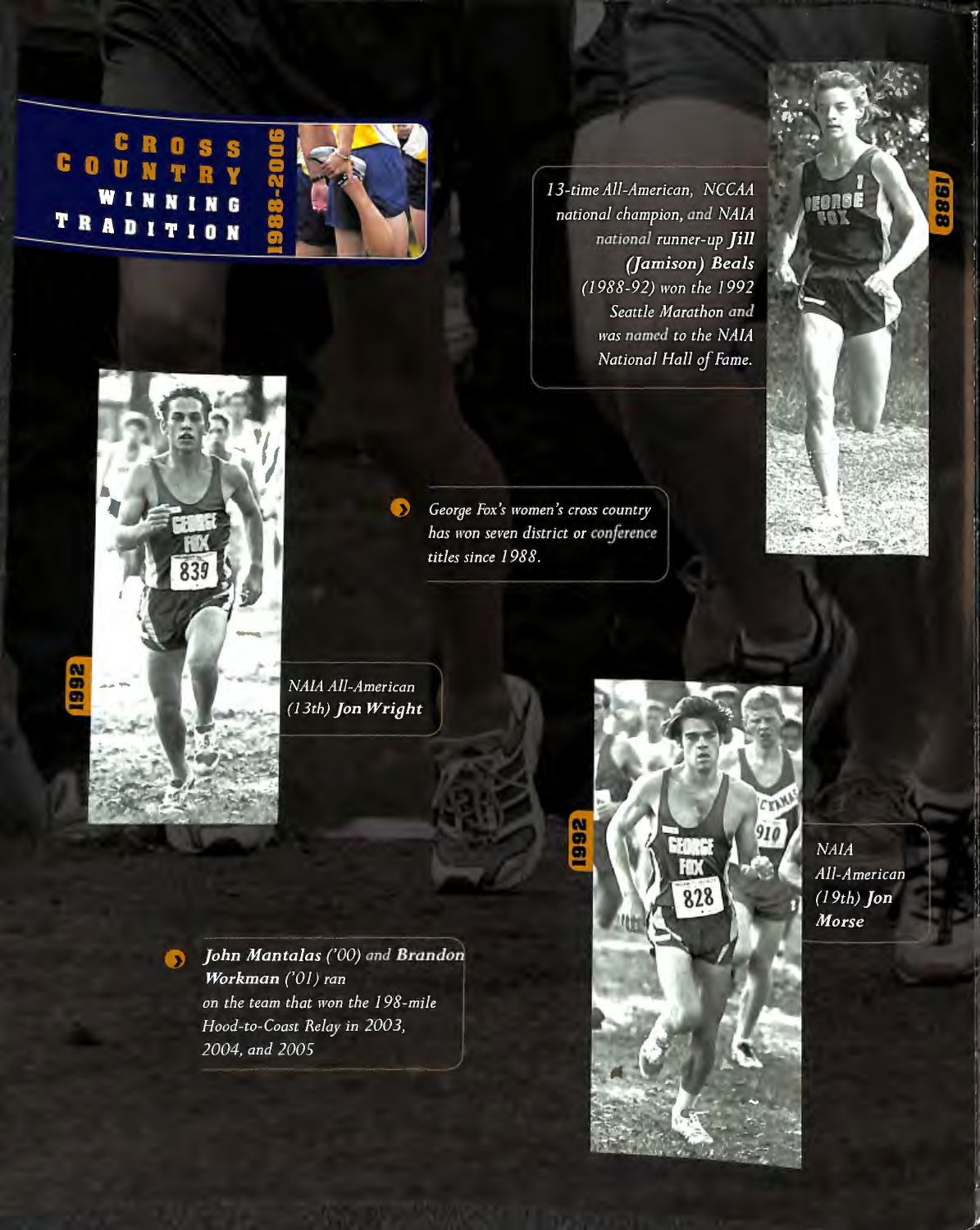COUNTRY W I G TRADITION



 $\bullet$ 

13-time All-American, NCCAA national champion, and NAIA national runner-up Jill (Jamison) Beals (1988-92) won the 1992 Seattle Marathon and was named to the NAIA National Hall of Fame.





George Fox's women's cross country has won seven district or conference titles since 1988.

NAIA All-American (13th) Jon Wright

John Mantalas ('00) and Brandon Workman ('01) ran on the team that won the 198-mile Hood-to-Coast Relay in 2003, 2004, and 2005



**NAIA** All-American  $(19th)$  Jon Morse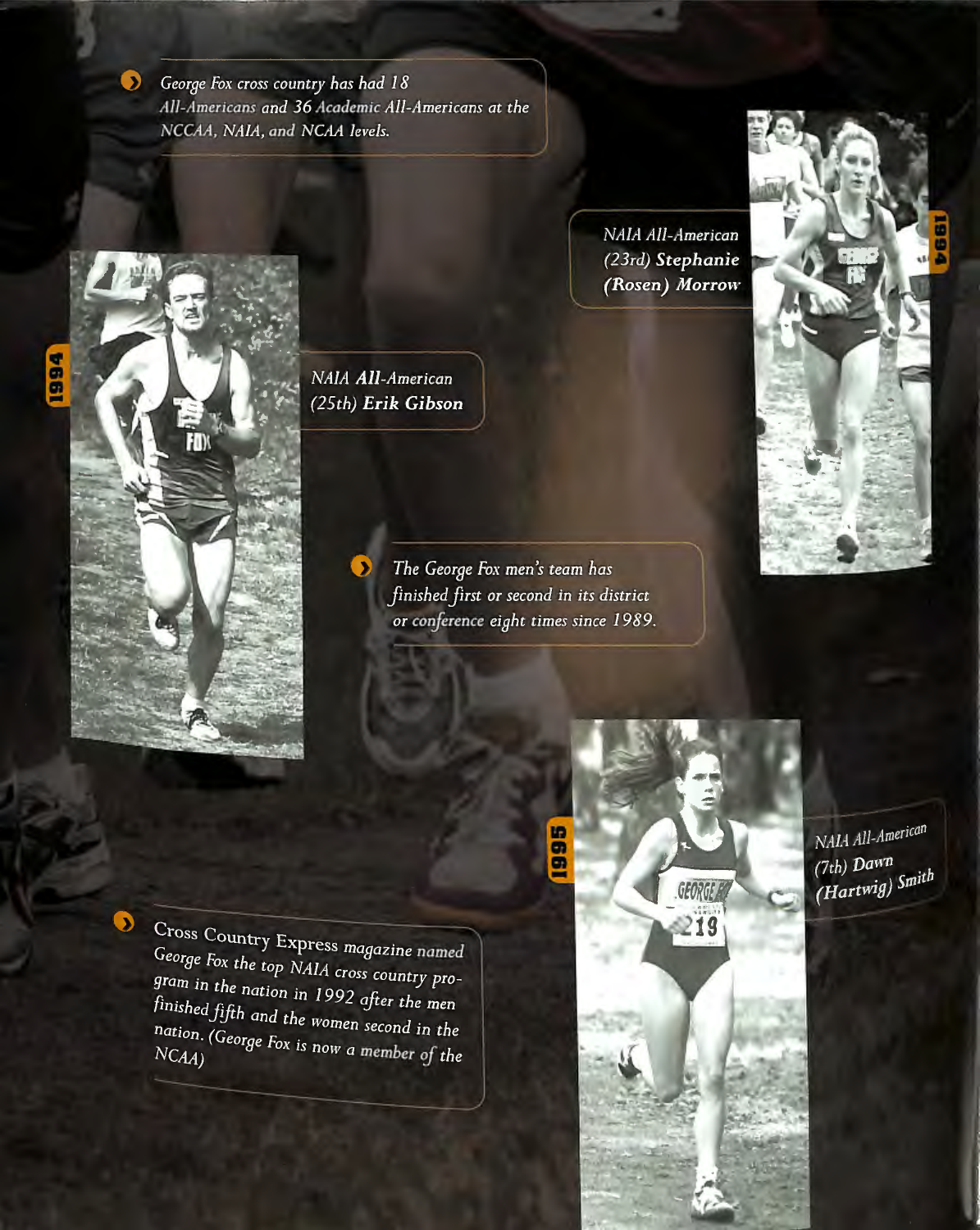George Fox cross country has had 18 All-Americans and 36 Academic All-Americans at the NCCAA, NAIA, and NCAA levels.

> NAIA All-American (23rd) Stephanie (Rosen) Morrow





NAIA All-American (25th) Erik Gibson

 $\bullet$ 

The George Fox men's team has finished first or second in its district or conference eight times since 1989.

 $\bullet$ 

Cross Country Express magazine named George Fox the top NAIA cross country program in the nation in 1992 after the men finished fifth and the women second in the nation. (George Fox is now a member of the



NAIA All-American (7th) Dawn (Hartwig) Smith

 $\bullet$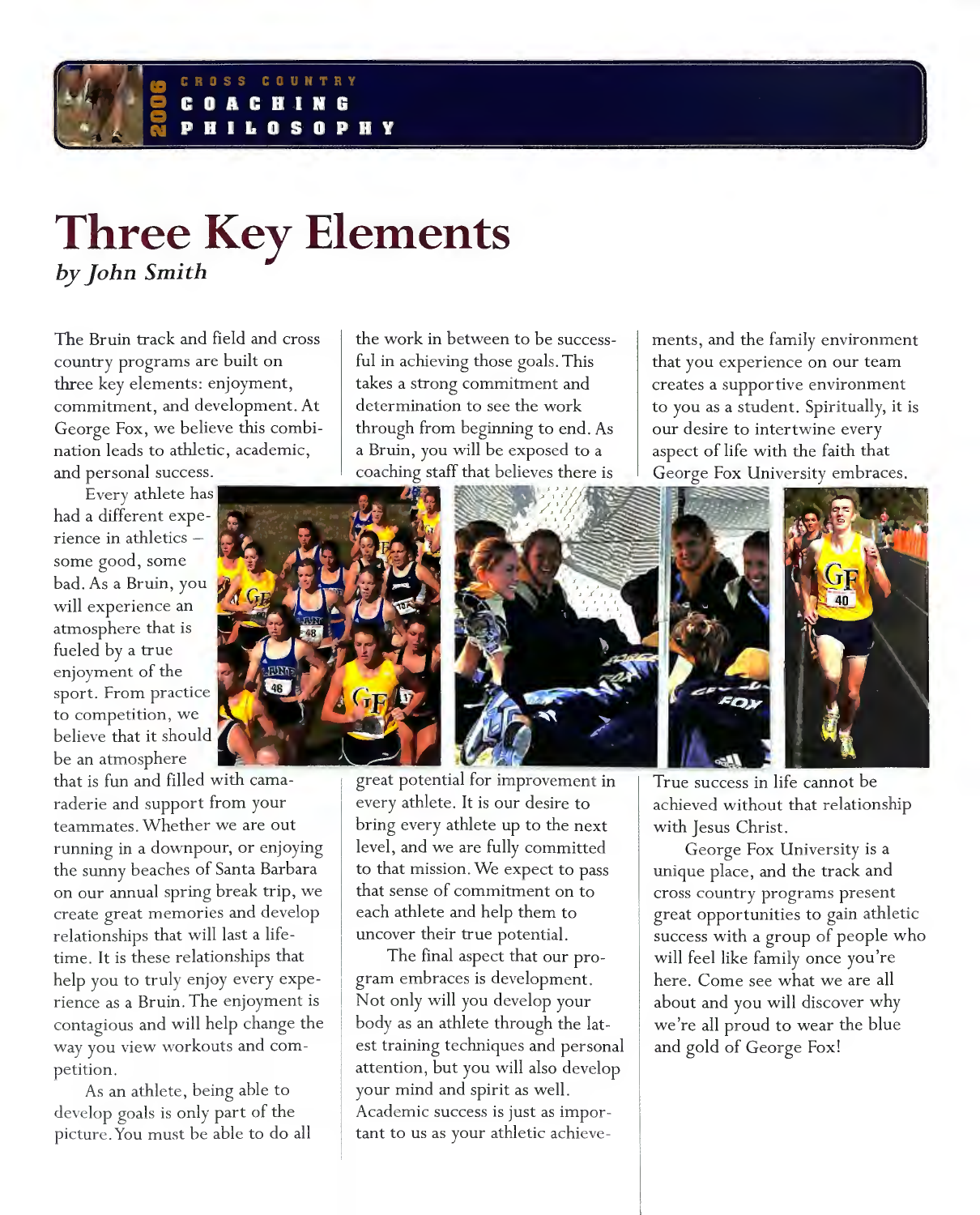#### COUNTRY  $\blacksquare$ **S**  $\mathbf n$ Ð H Y

# **Three Key Elements**  by *John Smith*

The Bruin track and field and cross country programs are built on three key elements: enjoyment, commitment, and development. At George Fox, we believe this combination leads to athletic, academic, and personal success.

Every athlete has had a different experience in athletics some good, some bad. As a Bruin, you will experience an atmosphere that is fueled by a true enjoyment of the sport. From practice to competition, we believe that it should be an atmosphere

that is fun and filled with camaraderie and support from your teammates. Whether we are out running in a downpour, or enjoying the sunny beaches of Santa Barbara on our annual spring break trip, we create great memories and develop relationships that will last a lifetime. It is these relationships that help you to truly enjoy every experience as a Bruin. The enjoyment is contagious and will help change the way you view workouts and competition.

As an athlete, being able to develop goals is only part of the picture. You must be able to do all the work in between to be successful in achieving those goals. This takes a strong commitment and determination to see the work through from beginning to end. As a Bruin, you vvill be exposed to a coaching staff that believes there is

ments, and the family environment that you experience on our team creates a supportive environment to you as a student. Spiritually, it is our desire to intertwine every aspect of life with the faith that George Fox University embraces.



great potential for improvement in every athlete. It is our desire to bring every athlete up to the next level, and we are fully committed to that mission. We expect to pass that sense of commitment on to each athlete and help them to uncover their true potential.

The final aspect that our program embraces is development. Not only will you develop your body as an athlete through the latest training techniques and personal attention, but you will also develop your mind and spirit as well. Academic success is just as important to us as your athletic achieveTrue success in life cannot be achieved without that relationship with Jesus Christ.

George Fox University is a unique place, and the track and cross country programs present great opportunities to gain athletic success with a group of people who will feel like family once you're here. Come see what we are all about and you will discover why we're all proud to wear the blue and gold of George Fox!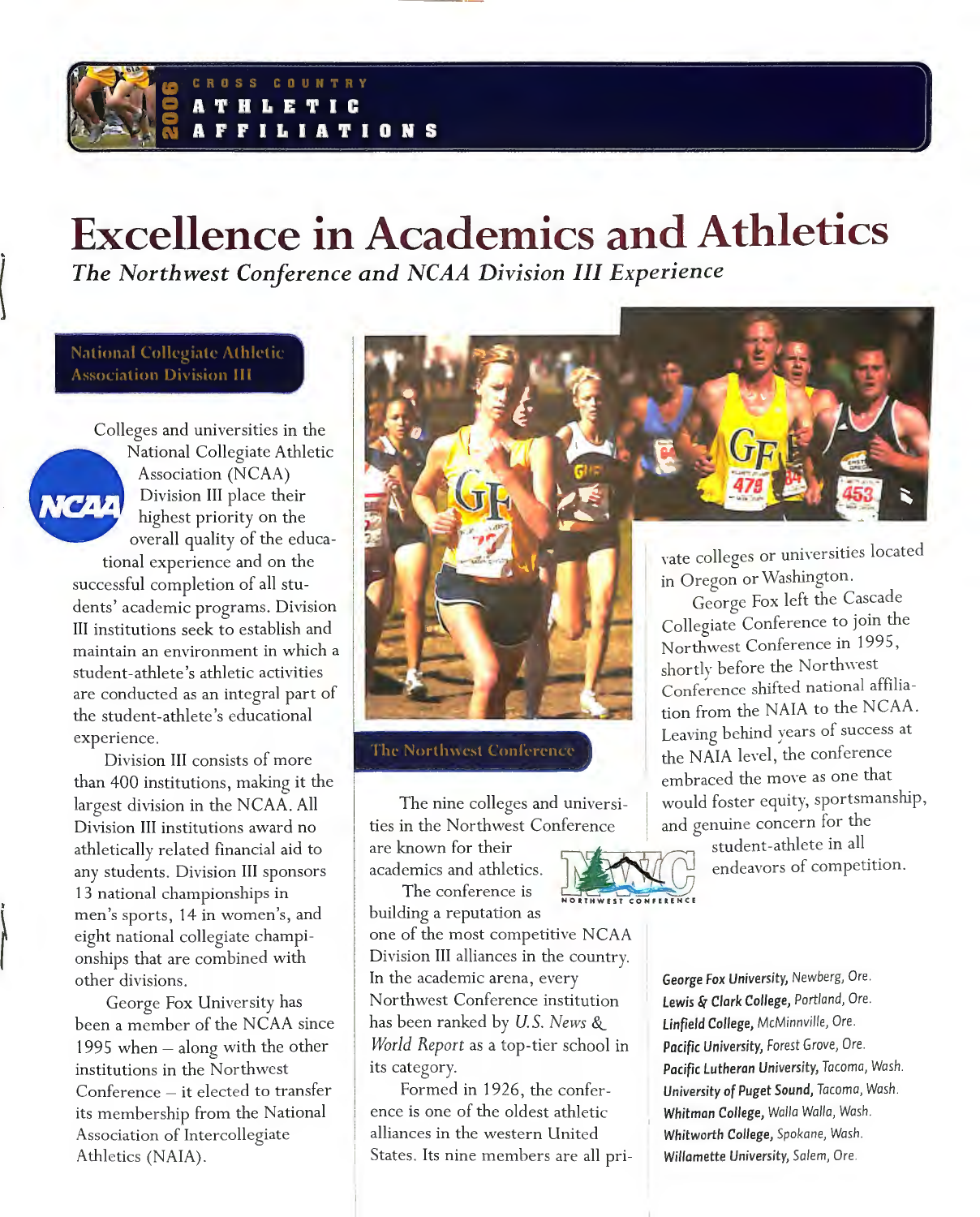### ROSS COUNTRY **THLETIC FILIATIONS**

# **Excellence in Academics and Athletics**

*The Northwest Coriference and NCAA Division III Experience* 

**National Collegiate Athletic Association Division III** 

Colleges and universities in the National Collegiate Athletic Association (NCAA) Division III place their **MCAA** highest priority on the overall quality of the educa-

tional experience and on the successful completion of all students' academic programs. Division III institutions seek to establish and maintain an environment in which a student-athlete's athletic activities are conducted as an integral part of the student-athlete's educational experience.

Division III consists of more than 400 institutions, making it the largest division in the NCAA. All Division III institutions award no athletically related financial aid to any students. Division III sponsors 13 national championships in men's sports, 14 in women's, and eight national collegiate championships that are combined with other divisions.

 $\bigcup$ 

George Fox University has been a member of the NCAA since 1995 when  $-$  along with the other institutions in the Northwest Conference - it elected to transfer its membership from the National Association of Intercollegiate Athletics (NAJA).



**The Northwest Conference** 

The nine colleges and universities in the Northwest Conference

are known for their academics and athletics.

The conference is building a reputation as

one of the most competitive NCAA Division III alliances in the country. In the academic arena, every Northwest Conference institution has been ranked by *U.S. News&\_\_ World Report* as a top-tier school in its category.

Formed in 1926, the conference is one of the oldest athletic alliances in the western United States. Its nine members are all pri-



vate colleges or universities located in Oregon or Washington.

George Fox left the Cascade Collegiate Conference to join the Northwest Conference in 1995, shortly before the Northwest Conference shifted national affiliation from the NAJA to the NCAA. Leaving behind years of success at the NAIA level, the conference embraced the move as one that would foster equity, sportsmanship, and genuine concern for the

student-athlete in all endeavors of competition.

George Fox *University,* Newberg, Ore. *Lewisli{ Clark College, Portland,* Ore. *Linfield College, McMinnville,* Ore. *Pacific University,* Forest Grove, Ore. *Pacific Lutheran University, Tacoma, Wash. University* of Puget Sound, *Tacoma,* Wash. Whitman *College, Walla Walla,* Wash. *Whitworth College, Spokane,* Wash. *Willomette University, Salem,* Ore.

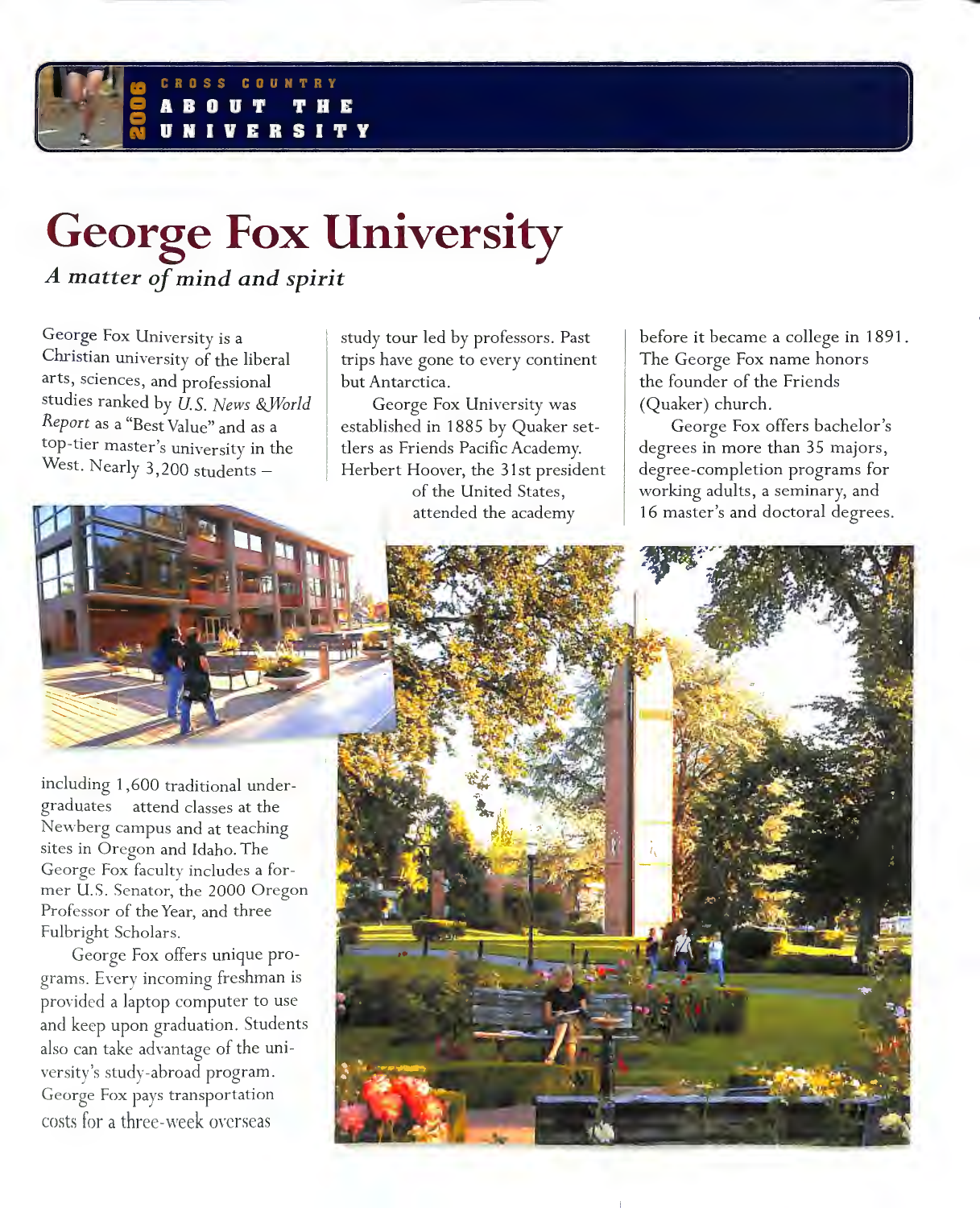### conw n ERSI

# **George Fox University**  *A matter of mind and spirit*

George Fox University is a Christian university of the liberal arts, sciences, and professional studies ranked by  $\hat{U}$ . S. News & World *Report* as a "Best Value" and as a top-tier master's university in the West. Nearly 3,200 students -

study tour led by professors. Past trips have gone to every continent but Antarctica.

George Fox University was established in 1885 by Quaker settlers as Friends Pacific Academy. Herbert Hoover, the 31st president of the United States, attended the academy

before it became a college in 1891. The George Fox name honors the founder of the Friends (Quaker) church.

George Fox offers bachelor's degrees in more than 35 majors, degree-completion programs for working adults, a seminary, and 16 master's and doctoral degrees.



including 1 ,600 traditional undergraduates - attend classes at the Newberg campus and at teaching sites in Oregon and Idaho. The George Fox faculty includes a former U.S. Senator, the 2000 Oregon Professor of the Year, and three Fulbright Scholars.

George Fox offers unique programs. Every incoming freshman is provided a laptop computer to use and keep upon graduation. Students also can take advantage of the university's study-abroad program. George Fox pays transportation costs for a three-week orcrseas

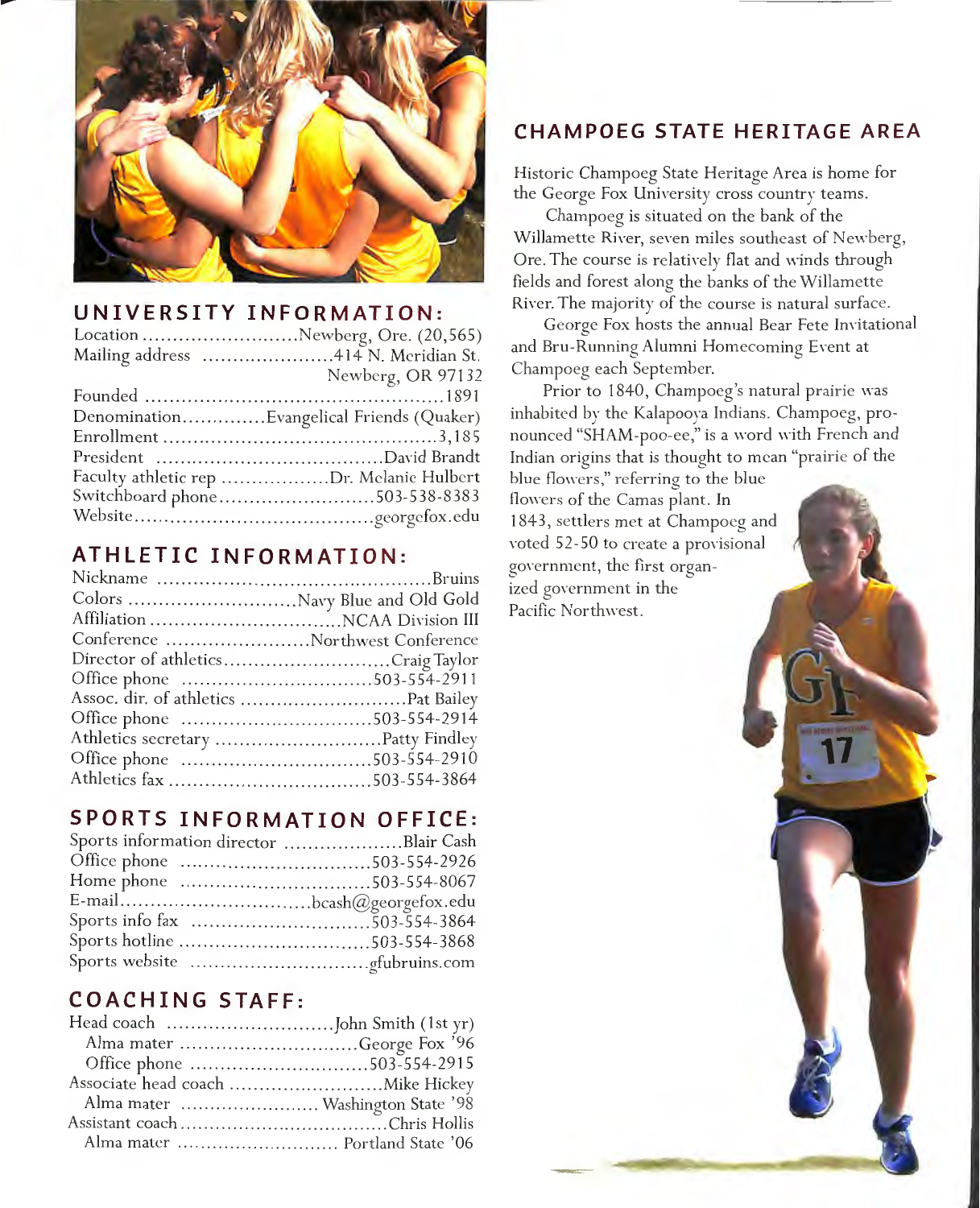

### UNIVERSITY INFORMATION:

| Location Newberg, Ore. (20,565)          |
|------------------------------------------|
| Mailing address 414 N. Meridian St.      |
| Newberg, OR 97132                        |
|                                          |
| DenominationEvangelical Friends (Quaker) |
|                                          |
|                                          |
| Faculty athletic rep Dr. Melanie Hulbert |
| Switchboard phone503-538-8383            |
|                                          |

## ATHLETIC INFORMATION:

| Conference Northwest Conference   |  |
|-----------------------------------|--|
| Director of athleticsCraig Taylor |  |
| Office phone 503-554-2911         |  |
|                                   |  |
| Office phone 503-554-2914         |  |
|                                   |  |
|                                   |  |
|                                   |  |
|                                   |  |

## **SPORTS INFORMATION OFFICE:**

| Sports information director Blair Cash |  |
|----------------------------------------|--|
| Office phone 503-554-2926              |  |
|                                        |  |
|                                        |  |
|                                        |  |
| Sports hotline 503-554-3868            |  |
|                                        |  |

# **COACHING STAFF:**

| Alma mater George Fox '96        |  |
|----------------------------------|--|
| Office phone 503-554-2915        |  |
|                                  |  |
| Alma mater  Washington State '98 |  |
|                                  |  |
|                                  |  |
|                                  |  |

# CHAMPOEG STATE HERITAGE AREA

Historic Champoeg State Heritage Area is home for the George Fox University cross country teams.

Champoeg is situated on the bank of the Willamette River, seven miles southeast of Newberg, Ore. The course is relatively flat and winds through fields and forest along the banks of the Willamette River. The majority of the course is natural surface.

George Fox hosts the annual Bear Fete Invitational and Bru-Running Alumni Homecoming Event at Champoeg each September.

Prior to 1840, Champoeg's natural prairie was inhabited by the Kalapoova Indians. Champoeg, pronounced "SHAM-poo-ee," is a word with French and Indian origins that is thought to mean "prairie of the

blue flowers," referring to the blue flowers of the Camas plant. In 1843, settlers met at Champoeg and voted 52-50 to create a provisional government, the first organized government in the Pacific Northwest.